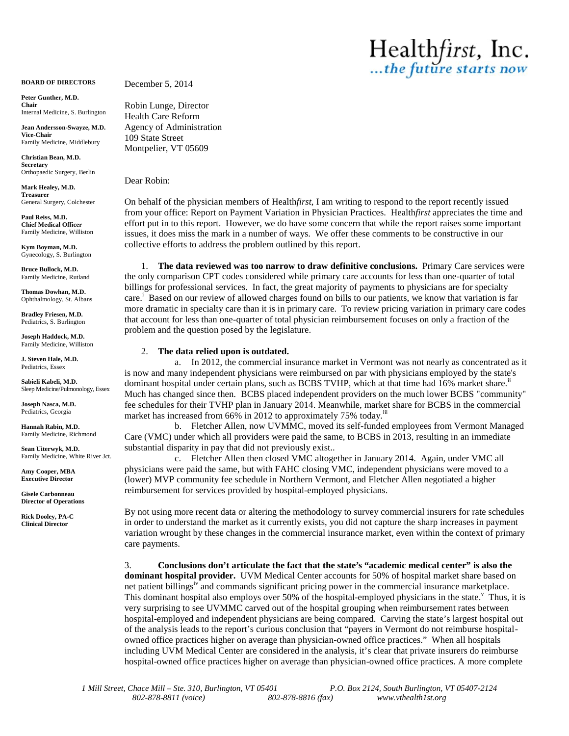**BOARD OF DIRECTORS**

**Peter Gunther, M.D. Chair** Internal Medicine, S. Burlington

**Jean Andersson-Swayze, M.D. Vice-Chair** Family Medicine, Middlebury

**Christian Bean, M.D. Secretary** Orthopaedic Surgery, Berlin

**Mark Healey, M.D. Treasurer** General Surgery, Colchester

**Paul Reiss, M.D. Chief Medical Officer** Family Medicine, Williston

**Kym Boyman, M.D.** Gynecology, S. Burlington

**Bruce Bullock, M.D.** Family Medicine, Rutland

**Thomas Dowhan, M.D.** Ophthalmology, St. Albans

**Bradley Friesen, M.D.** Pediatrics, S. Burlington

**Joseph Haddock, M.D.** Family Medicine, Williston

**J. Steven Hale, M.D.** Pediatrics, Essex

**Sabieli Kabeli, M.D.** Sleep Medicine/Pulmonology, Essex

**Joseph Nasca, M.D.** Pediatrics, Georgia

**Hannah Rabin, M.D.** Family Medicine, Richmond

**Sean Uiterwyk, M.D.** Family Medicine, White River Jct.

**Amy Cooper, MBA Executive Director**

**Gisele Carbonneau Director of Operations**

**Rick Dooley, PA-C Clinical Director**

December 5, 2014

Robin Lunge, Director Health Care Reform Agency of Administration 109 State Street Montpelier, VT 05609

Dear Robin:

On behalf of the physician members of Health*first*, I am writing to respond to the report recently issued from your office: Report on Payment Variation in Physician Practices. Health*first* appreciates the time and effort put in to this report. However, we do have some concern that while the report raises some important issues, it does miss the mark in a number of ways. We offer these comments to be constructive in our collective efforts to address the problem outlined by this report.

Healthfirst, Inc.

1. **The data reviewed was too narrow to draw definitive conclusions.** Primary Care services were the only comparison CPT codes considered while primary care accounts for less than one-quarter of total billings for professional services. In fact, the great majority of payments to physicians are for specialty care.<sup>1</sup> Based on our review of allowed charges found on bills to our patients, we know that variation is far more dramatic in specialty care than it is in primary care. To review pricing variation in primary care codes that account for less than one-quarter of total physician reimbursement focuses on only a fraction of the problem and the question posed by the legislature.

## 2. **The data relied upon is outdated.**

a. In 2012, the commercial insurance market in Vermont was not nearly as concentrated as it is now and many independent physicians were reimbursed on par with physicians employed by the state's dominant hospital under certain plans, such as BCBS TVHP, which at that time had 16% market share.<sup>ii</sup> Much has changed since then. BCBS placed independent providers on the much lower BCBS "community" fee schedules for their TVHP plan in January 2014. Meanwhile, market share for BCBS in the commercial market has increased from 66% in 2012 to approximately 75% today.<sup>iii</sup>

b. Fletcher Allen, now UVMMC, moved its self-funded employees from Vermont Managed Care (VMC) under which all providers were paid the same, to BCBS in 2013, resulting in an immediate substantial disparity in pay that did not previously exist..

c. Fletcher Allen then closed VMC altogether in January 2014. Again, under VMC all physicians were paid the same, but with FAHC closing VMC, independent physicians were moved to a (lower) MVP community fee schedule in Northern Vermont, and Fletcher Allen negotiated a higher reimbursement for services provided by hospital-employed physicians.

By not using more recent data or altering the methodology to survey commercial insurers for rate schedules in order to understand the market as it currently exists, you did not capture the sharp increases in payment variation wrought by these changes in the commercial insurance market, even within the context of primary care payments.

3. **Conclusions don't articulate the fact that the state's "academic medical center" is also the dominant hospital provider.** UVM Medical Center accounts for 50% of hospital market share based on net patient billings<sup>1</sup> and commands significant pricing power in the commercial insurance marketplace. This dominant hospital also employs over 50% of the hospital-employed physicians in the state.<sup> $\degree$ </sup> Thus, it is very surprising to see UVMMC carved out of the hospital grouping when reimbursement rates between hospital-employed and independent physicians are being compared. Carving the state's largest hospital out of the analysis leads to the report's curious conclusion that "payers in Vermont do not reimburse hospital owned office practices higher on average than physician-owned office practices." When all hospitals including UVM Medical Center are considered in the analysis, it's clear that private insurers do reimburse hospital-owned office practices higher on average than physician-owned office practices. A more complete